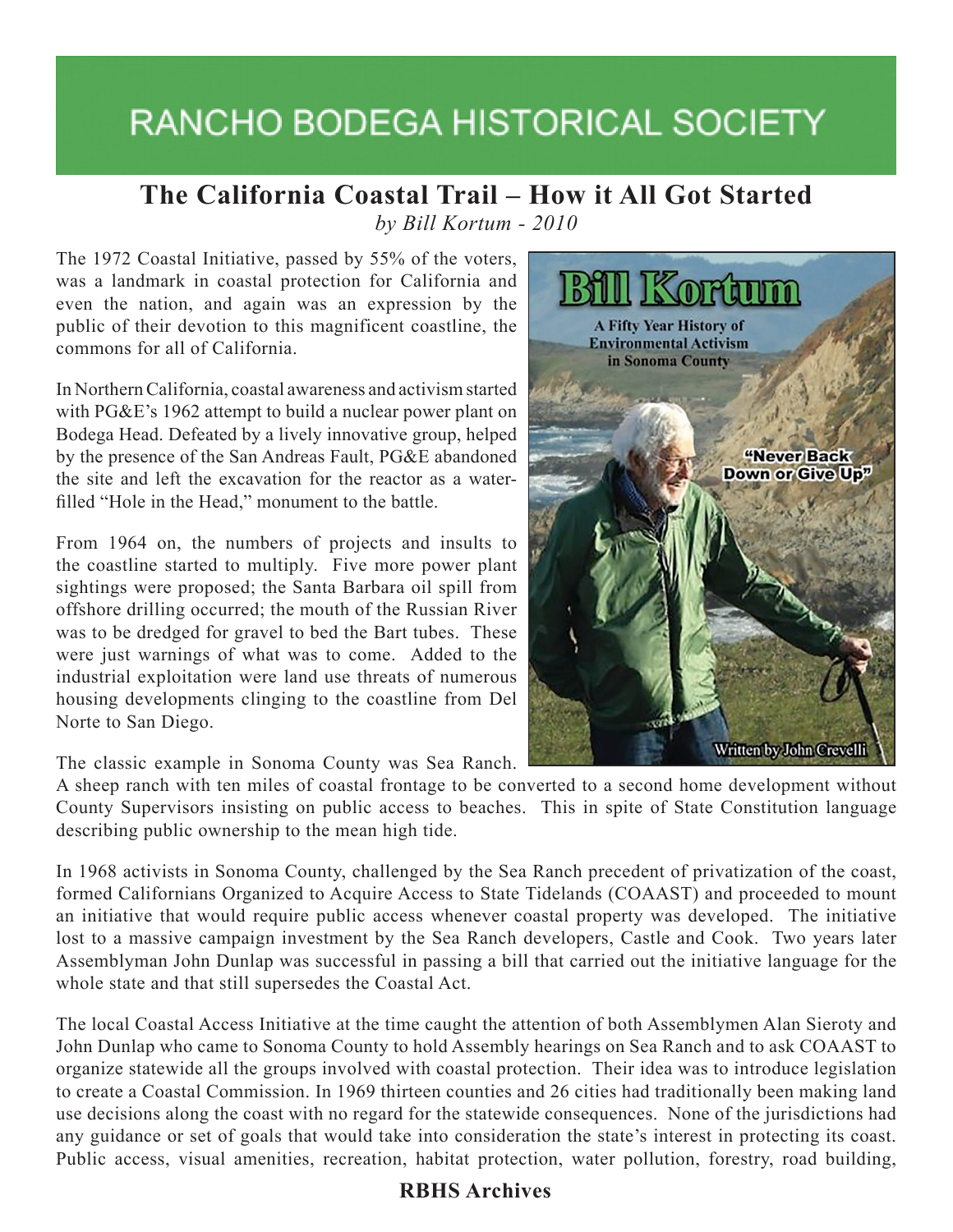# **RANCHO BODEGA HISTORICAL SOCIETY**

## **The California Coastal Trail – How it All Got Started**

*by Bill Kortum - 2010*

The 1972 Coastal Initiative, passed by 55% of the voters, was a landmark in coastal protection for California and even the nation, and again was an expression by the public of their devotion to this magnificent coastline, the commons for all of California.

In Northern California, coastal awareness and activism started with PG&E's 1962 attempt to build a nuclear power plant on Bodega Head. Defeated by a lively innovative group, helped by the presence of the San Andreas Fault, PG&E abandoned the site and left the excavation for the reactor as a waterfilled "Hole in the Head," monument to the battle.

From 1964 on, the numbers of projects and insults to the coastline started to multiply. Five more power plant sightings were proposed; the Santa Barbara oil spill from offshore drilling occurred; the mouth of the Russian River was to be dredged for gravel to bed the Bart tubes. These were just warnings of what was to come. Added to the industrial exploitation were land use threats of numerous housing developments clinging to the coastline from Del Norte to San Diego.

The classic example in Sonoma County was Sea Ranch.

A sheep ranch with ten miles of coastal frontage to be converted to a second home development without County Supervisors insisting on public access to beaches. This in spite of State Constitution language describing public ownership to the mean high tide.

In 1968 activists in Sonoma County, challenged by the Sea Ranch precedent of privatization of the coast, formed Californians Organized to Acquire Access to State Tidelands (COAAST) and proceeded to mount an initiative that would require public access whenever coastal property was developed. The initiative lost to a massive campaign investment by the Sea Ranch developers, Castle and Cook. Two years later Assemblyman John Dunlap was successful in passing a bill that carried out the initiative language for the whole state and that still supersedes the Coastal Act.

The local Coastal Access Initiative at the time caught the attention of both Assemblymen Alan Sieroty and John Dunlap who came to Sonoma County to hold Assembly hearings on Sea Ranch and to ask COAAST to organize statewide all the groups involved with coastal protection. Their idea was to introduce legislation to create a Coastal Commission. In 1969 thirteen counties and 26 cities had traditionally been making land use decisions along the coast with no regard for the statewide consequences. None of the jurisdictions had any guidance or set of goals that would take into consideration the state's interest in protecting its coast. Public access, visual amenities, recreation, habitat protection, water pollution, forestry, road building,



#### **RBHS Archives**